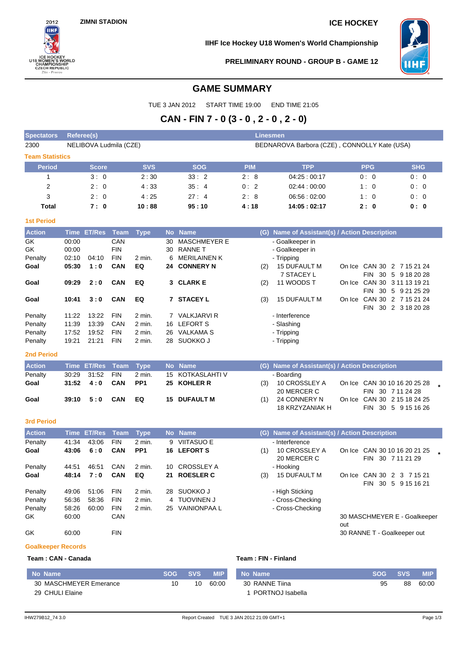

**IIHF Ice Hockey U18 Women's World Championship**



**PRELIMINARY ROUND - GROUP B - GAME 12**

# **GAME SUMMARY**

TUE 3 JAN 2012 START TIME 19:00 END TIME 21:05

# **CAN - FIN 7 - 0 (3 - 0 , 2 - 0 , 2 - 0)**

| <b>Spectators</b>      | <b>Linesmen</b><br>Referee(s) |             |            |                                                  |               |            |            |  |  |  |  |  |  |
|------------------------|-------------------------------|-------------|------------|--------------------------------------------------|---------------|------------|------------|--|--|--|--|--|--|
| 2300                   | NELIBOVA Ludmila (CZE)        |             |            | BEDNAROVA Barbora (CZE), CONNOLLY Kate (USA)     |               |            |            |  |  |  |  |  |  |
| <b>Team Statistics</b> |                               |             |            |                                                  |               |            |            |  |  |  |  |  |  |
| <b>Period</b>          | <b>Score</b>                  | <b>SVS</b>  | <b>SOG</b> | <b>PIM</b>                                       | <b>TPP</b>    | <b>PPG</b> | <b>SHG</b> |  |  |  |  |  |  |
|                        | 3:0                           | 2:30        | 33:2       | 2:8                                              | 04:25 : 00:17 | 0:0        | 0:0        |  |  |  |  |  |  |
| 2                      | 2:0                           | 4:33        | 35:4       | 0:2                                              | 02:44:00:00   | 1:0        | 0:0        |  |  |  |  |  |  |
| 3                      | 2:0                           | 4:25        | 27:4       | 2:8                                              | 06.56:02:00   | 1:0        | 0:0        |  |  |  |  |  |  |
| Total                  | 7:0                           | 10:88       | 95:10      | 4:18                                             | 14:05:02:17   | 2:0        | 0: 0       |  |  |  |  |  |  |
| <b>1st Period</b>      |                               |             |            |                                                  |               |            |            |  |  |  |  |  |  |
| <b>Action</b>          | Time ET/Res Team              | <b>Type</b> | No Name    | Name of Assistant(s) / Action Description<br>(G) |               |            |            |  |  |  |  |  |  |

| <b>Action</b> |       | Time ET/Res | Team       | <b>Type</b> |     | No Name             | (G)        | Name of Assistant(s) / Action Description |        |                            |  |  |  |
|---------------|-------|-------------|------------|-------------|-----|---------------------|------------|-------------------------------------------|--------|----------------------------|--|--|--|
| GK            | 00:00 |             | CAN        |             | 30  | <b>MASCHMEYER E</b> |            | - Goalkeeper in                           |        |                            |  |  |  |
| GK.           | 00:00 |             | <b>FIN</b> |             | 30  | <b>RANNE T</b>      |            | - Goalkeeper in                           |        |                            |  |  |  |
| Penalty       | 02:10 | 04:10       | <b>FIN</b> | 2 min.      |     | 6 MERILAINEN K      | - Tripping |                                           |        |                            |  |  |  |
| Goal          | 05:30 | 1:0         | CAN        | EQ          |     | 24 CONNERY N        | (2)        | <b>15 DUFAULT M</b>                       |        | On Ice CAN 30 2 7 15 21 24 |  |  |  |
|               |       |             |            |             |     |                     |            | 7 STACEY L                                |        | FIN 30 5 9 18 20 28        |  |  |  |
| Goal          | 09:29 | 2:0         | CAN        | EQ          |     | 3 CLARK E           | (2)        | 11 WOODS T                                | On Ice | CAN 30 3 11 13 19 21       |  |  |  |
|               |       |             |            |             |     |                     |            |                                           |        | FIN 30 5 9 21 25 29        |  |  |  |
| Goal          | 10:41 | 3:0         | CAN        | EQ          |     | <b>7 STACEY L</b>   | (3)        | <b>15 DUFAULT M</b>                       | On Ice | CAN 30 2 7 15 21 24        |  |  |  |
|               |       |             |            |             |     |                     |            |                                           |        | FIN 30 2 3 18 20 28        |  |  |  |
| Penalty       | 11:22 | 13:22       | <b>FIN</b> | $2$ min.    |     | 7 VALKJARVI R       |            | - Interference                            |        |                            |  |  |  |
| Penalty       | 11:39 | 13:39       | CAN        | 2 min.      | 16. | <b>LEFORT S</b>     |            | - Slashing                                |        |                            |  |  |  |
| Penalty       | 17:52 | 19:52       | <b>FIN</b> | 2 min.      | 26  | VALKAMA S           |            | - Tripping                                |        |                            |  |  |  |
| Penalty       | 19:21 | 21:21       | <b>FIN</b> | 2 min.      | 28  | SUOKKO J            |            | - Tripping                                |        |                            |  |  |  |
| _______       |       |             |            |             |     |                     |            |                                           |        |                            |  |  |  |

### **2nd Period**

| <b>Action</b> | Time ET/Res Team Type       |        | <b>No Name</b>      | (G) Name of Assistant(s) / Action Description |                 |  |                              |  |  |
|---------------|-----------------------------|--------|---------------------|-----------------------------------------------|-----------------|--|------------------------------|--|--|
| Penalty       | 30:29 31:52 FIN             | 2 min. | 15 KOTKASLAHTI V    |                                               | - Boarding      |  |                              |  |  |
| Goal          | $31:52 \quad 4:0 \quad CAN$ | PP1    | 25 KOHLER R         | (3)                                           | 10 CROSSLEY A   |  | On Ice CAN 30 10 16 20 25 28 |  |  |
|               |                             |        |                     |                                               | 20 MERCER C     |  | FIN 30 7 11 24 28            |  |  |
| Goal          | 39:10 5:0 CAN EQ            |        | <b>15 DUFAULT M</b> | (1)                                           | 24 CONNERY N    |  | On Ice CAN 30 2 15 18 24 25  |  |  |
|               |                             |        |                     |                                               | 18 KRZYZANIAK H |  | FIN 30 5 9 15 16 26          |  |  |

## **3rd Period**

| <b>Action</b> |       | Time ET/Res Team |            | <b>Type</b>       |     | No Name            | (G) | Name of Assistant(s) / Action Description |        |                                                             |
|---------------|-------|------------------|------------|-------------------|-----|--------------------|-----|-------------------------------------------|--------|-------------------------------------------------------------|
| Penalty       | 41:34 | 43:06            | <b>FIN</b> | $2$ min.          | 9   | VIITASUO E         |     | - Interference                            |        |                                                             |
| Goal          | 43:06 | 6:0              | <b>CAN</b> | PP <sub>1</sub>   |     | 16 LEFORT S        | (1) | 10 CROSSLEY A<br>20 MERCER C              |        | On Ice CAN 30 10 16 20 21 25<br><b>FIN</b><br>30 7 11 21 29 |
| Penalty       | 44.51 | 46:51            | CAN        | 2 min.            | 10. | CROSSLEY A         |     | - Hooking                                 |        |                                                             |
| Goal          | 48:14 | 7:0              | <b>CAN</b> | EQ                |     | 21 ROESLER C       | (3) | <b>15 DUFAULT M</b>                       | On Ice | CAN 30 2 3 7 15 21                                          |
|               |       |                  |            |                   |     |                    |     |                                           |        | <b>FIN</b><br>30 5 9 15 16 21                               |
| Penalty       | 49:06 | 51:06            | <b>FIN</b> | $2 \text{ min}$ . |     | 28 SUOKKO J        |     | - High Sticking                           |        |                                                             |
| Penalty       | 56:36 | 58:36            | <b>FIN</b> | 2 min.            |     | 4 TUOVINEN J       |     | - Cross-Checking                          |        |                                                             |
| Penalty       | 58:26 | 60:00            | <b>FIN</b> | $2$ min.          | 25  | <b>VAINIONPAAL</b> |     | - Cross-Checking                          |        |                                                             |
| GK            | 60:00 |                  | CAN        |                   |     |                    |     |                                           | out    | 30 MASCHMEYER E - Goalkeeper                                |

GK 60:00 FIN 60:00 FIN 500 FIN 500 FIN 500 FIN 500 FIN 500 FINE T - Goalkeeper out

# **Goalkeeper Records**

| Team: CAN - Canada | Team: FIN - Finland |
|--------------------|---------------------|
|                    |                     |

| No Name                | <b>SOG SVS</b> |    | <b>MIP</b> | No Name          | SOG. | <b>SVS</b> | <b>MIP</b> |
|------------------------|----------------|----|------------|------------------|------|------------|------------|
| 30 MASCHMEYER Emerance | 10             | 10 | 60.00      | 30 RANNE Tiina   | 95   | 88         | 60:00      |
| 29 CHULI Elaine        |                |    |            | PORTNOJ Isabella |      |            |            |

I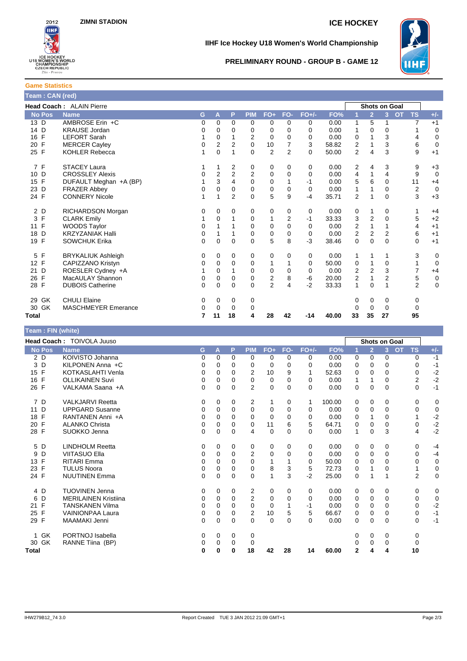

**IIHF Ice Hockey U18 Women's World Championship**



## **PRELIMINARY ROUND - GROUP B - GAME 12**

### **Game Statistics Team : CAN (red)**

| $1$ can . Only $(1)$ ca |                            |             |                         |          |                |                         |                |          |       |                |                |                |                        |                  |
|-------------------------|----------------------------|-------------|-------------------------|----------|----------------|-------------------------|----------------|----------|-------|----------------|----------------|----------------|------------------------|------------------|
|                         | Head Coach: ALAIN Pierre   |             |                         |          |                |                         |                |          |       |                | Shots on Goal  |                |                        |                  |
| <b>No Pos</b>           | <b>Name</b>                | G           | A                       | P        | <b>PIM</b>     | $FO+$                   | FO-            | $FO+/-$  | FO%   |                | $\overline{2}$ | $\overline{3}$ | <b>TS</b><br><b>OT</b> | $+/-$            |
| 13 D                    | AMBROSE Erin +C            | 0           | 0                       | $\Omega$ | 0              | 0                       | 0              | 0        | 0.00  | 1              | 5              | 1              | $\overline{7}$         | $+1$             |
| 14 D                    | <b>KRAUSE Jordan</b>       | 0           | 0                       | 0        | 0              | 0                       | 0              | 0        | 0.00  | 1              | 0              | 0              |                        | $\mathbf 0$      |
| F<br>16                 | <b>LEFORT Sarah</b>        |             | $\mathbf 0$             |          | 2              | $\mathbf 0$             | $\Omega$       | 0        | 0.00  | 0              |                | 3              | 4                      | $\mathbf 0$      |
| F<br>20                 | <b>MERCER Cayley</b>       | $\mathbf 0$ | $\overline{2}$          | 2        | $\mathbf 0$    | 10                      | 7              | 3        | 58.82 | 2              | 1              | 3              | 6                      | $\mathbf 0$      |
| 25 F                    | <b>KOHLER Rebecca</b>      | 1           | $\mathbf 0$             |          | $\Omega$       | $\overline{2}$          | $\overline{2}$ | $\Omega$ | 50.00 | $\overline{2}$ | 4              | 3              | 9                      | $+1$             |
| 7 F                     | <b>STACEY Laura</b>        |             |                         | 2        | 0              | 0                       | 0              | 0        | 0.00  | 2              | 4              | 3              | 9                      | $+3$             |
| 10 D                    | <b>CROSSLEY Alexis</b>     | $\mathbf 0$ | $\overline{\mathbf{c}}$ | 2        | $\overline{2}$ | 0                       | 0              | 0        | 0.00  | 4              | 1              | 4              | 9                      | $\mathbf 0$      |
| F<br>15                 | DUFAULT Meghan +A (BP)     |             | 3                       | 4        | $\Omega$       | $\mathbf 0$             |                | $-1$     | 0.00  | 5              | 6              | $\Omega$       | 11                     | $+4$             |
| 23 D                    | <b>FRAZER Abbey</b>        | 0           | $\mathbf 0$             | 0        | 0              | 0                       | 0              | 0        | 0.00  | 1              |                | 0              | 2                      | $\mathbf 0$      |
| 24 F                    | <b>CONNERY Nicole</b>      |             | 1                       | 2        | $\Omega$       | 5                       | 9              | $-4$     | 35.71 | 2              | 1              | $\Omega$       | 3                      | $+3$             |
| 2 D                     | RICHARDSON Morgan          | 0           | 0                       | 0        | 0              | 0                       | 0              | 0        | 0.00  | 0              | 1              | 0              |                        | $+4$             |
| 3<br>F                  | <b>CLARK Emily</b>         |             | $\mathbf 0$             |          | 0              | 1                       | $\overline{2}$ | -1       | 33.33 | 3              | 2              | $\mathbf 0$    | 5                      | $+2$             |
| F<br>11                 | <b>WOODS Taylor</b>        | 0           |                         |          | 0              | 0                       | $\Omega$       | 0        | 0.00  | $\overline{2}$ | 1              |                | $\overline{4}$         | $+1$             |
| D<br>18                 | <b>KRZYZANIAK Halli</b>    | $\mathbf 0$ |                         |          | 0              | 0                       | 0              | 0        | 0.00  | $\overline{2}$ | $\overline{2}$ | $\overline{2}$ | 6                      | $+1$             |
| F<br>19                 | <b>SOWCHUK Erika</b>       | $\Omega$    | $\Omega$                | $\Omega$ | $\Omega$       | 5                       | 8              | $-3$     | 38.46 | 0              | $\mathbf 0$    | $\Omega$       | $\mathbf 0$            | $+1$             |
| F<br>5                  | <b>BRYKALIUK Ashleigh</b>  | 0           | 0                       | 0        | 0              | 0                       | 0              | 0        | 0.00  | 1              | 1              |                | 3                      | 0                |
| $\mathsf{F}$<br>12      | CAPIZZANO Kristyn          | 0           | 0                       | 0        | 0              | 1                       |                | 0        | 50.00 | 0              | 1              | 0              | 1                      | $\overline{0}$   |
| D<br>21                 | ROESLER Cydney +A          |             | $\Omega$                |          | 0              | 0                       | $\Omega$       | $\Omega$ | 0.00  | 2              | 2              | 3              | 7                      | $+4$             |
| F<br>26                 | MacAULAY Shannon           | 0           | $\mathbf 0$             | 0        | 0              | $\overline{\mathbf{c}}$ | 8              | -6       | 20.00 | 2              | 1              | 2              | 5                      | $\boldsymbol{0}$ |
| F<br>28                 | <b>DUBOIS Catherine</b>    | 0           | $\Omega$                | $\Omega$ | $\Omega$       | 2                       | 4              | $-2$     | 33.33 | 1              | $\Omega$       |                | $\overline{2}$         | $\mathbf 0$      |
| GK<br>29                | <b>CHULI Elaine</b>        | 0           | 0                       | 0        | 0              |                         |                |          |       | 0              | 0              | 0              | 0                      |                  |
| GK<br>30                | <b>MASCHMEYER Emerance</b> | 0           | $\Omega$                | $\Omega$ | 0              |                         |                |          |       | 0              | $\Omega$       | 0              | $\mathbf 0$            |                  |
| <b>Total</b>            |                            | 7           | 11                      | 18       | 4              | 28                      | 42             | $-14$    | 40.00 | 33             | 35             | 27             | 95                     |                  |

| Team: FIN (white)  |                             |          |          |          |                |             |          |          |        |                      |                |                |           |           |             |
|--------------------|-----------------------------|----------|----------|----------|----------------|-------------|----------|----------|--------|----------------------|----------------|----------------|-----------|-----------|-------------|
|                    | Head Coach: TOIVOLA Juuso   |          |          |          |                |             |          |          |        | <b>Shots on Goal</b> |                |                |           |           |             |
| <b>No Pos</b>      | <b>Name</b>                 | G        | A        | P        | <b>PIM</b>     | $FO+$       | FO-      | $FO+/-$  | FO%    |                      | $\overline{2}$ | 3 <sup>1</sup> | <b>OT</b> | <b>TS</b> | $+/-$       |
| 2 D                | KOIVISTO Johanna            | 0        | $\Omega$ | $\Omega$ | 0              | 0           | 0        | 0        | 0.00   | 0                    | 0              | 0              |           | 0         | $-1$        |
| 3D                 | KILPONEN Anna +C            | 0        | 0        | 0        | 0              | 0           | 0        | $\Omega$ | 0.00   | 0                    | 0              | 0              |           | 0         | $-1$        |
| 15 F               | <b>KOTKASLAHTI Venla</b>    | 0        | 0        | 0        | $\overline{2}$ | 10          | 9        |          | 52.63  | 0                    | 0              | 0              |           | 0         | $-2$        |
| 16 F               | <b>OLLIKAINEN Suvi</b>      | 0        | 0        | 0        | 0              | 0           | 0        | 0        | 0.00   | 1                    | 1              | 0              |           | 2         | $-2$        |
| 26 F               | VALKAMA Saana +A            | 0        | $\Omega$ | $\Omega$ | $\overline{2}$ | $\mathbf 0$ | $\Omega$ | $\Omega$ | 0.00   | 0                    | $\Omega$       | $\Omega$       |           | 0         | $-1$        |
| 7 D                | <b>VALKJARVI Reetta</b>     | 0        | 0        | 0        | 2              | 1           | 0        | 1        | 100.00 | 0                    | 0              | 0              |           | 0         | 0           |
| 11 D               | <b>UPPGARD Susanne</b>      | 0        | $\Omega$ | 0        | $\Omega$       | 0           | $\Omega$ | 0        | 0.00   | 0                    | $\Omega$       | $\Omega$       |           | 0         | $\mathbf 0$ |
| 18 F               | RANTANEN Anni +A            | 0        | 0        | 0        | 0              | $\Omega$    | 0        | $\Omega$ | 0.00   | 0                    | 1              | 0              |           |           | $-2$        |
| $\mathsf{F}$<br>20 | <b>ALANKO Christa</b>       | 0        | $\Omega$ | 0        | 0              | 11          | 6        | 5        | 64.71  | 0                    | 0              | 0              |           | 0         | $-2$        |
| 28 F               | SUOKKO Jenna                | 0        | $\Omega$ | $\Omega$ | 4              | $\mathbf 0$ | $\Omega$ | $\Omega$ | 0.00   | 1                    | 0              | 3              |           | 4         | $-2$        |
| 5 D                | <b>LINDHOLM Reetta</b>      | 0        | $\Omega$ | 0        | 0              | 0           | 0        | 0        | 0.00   | 0                    | 0              | 0              |           | 0         | $-4$        |
| D<br>9             | VIITASUO Ella               | 0        | $\Omega$ | $\Omega$ | 2              | 0           | $\Omega$ | $\Omega$ | 0.00   | 0                    | $\Omega$       | $\Omega$       |           | 0         | $-4$        |
| F<br>13            | <b>RITARI Emma</b>          | 0        | 0        | 0        | $\Omega$       |             |          | $\Omega$ | 50.00  | 0                    | 0              | 0              |           | 0         | 0           |
| 23<br>F            | <b>TULUS Noora</b>          | 0        | 0        | 0        | 0              | 8           | 3        | 5        | 72.73  | 0                    |                | 0              |           |           | $\mathbf 0$ |
| 24 F               | <b>NUUTINEN Emma</b>        | 0        | $\Omega$ | $\Omega$ | $\Omega$       | 1           | 3        | $-2$     | 25.00  | 0                    | 1              |                |           | 2         | $\mathbf 0$ |
| 4 D                | <b>TUOVINEN Jenna</b>       | 0        | $\Omega$ | 0        | 2              | 0           | $\Omega$ | $\Omega$ | 0.00   | 0                    | 0              | 0              |           | 0         | 0           |
| 6<br>D             | <b>MERILAINEN Kristiina</b> | 0        | $\Omega$ | $\Omega$ | $\overline{2}$ | 0           | $\Omega$ | $\Omega$ | 0.00   | 0                    | 0              | $\Omega$       |           | 0         | $\mathbf 0$ |
| 21 F               | <b>TANSKANEN Vilma</b>      | $\Omega$ | $\Omega$ | 0        | $\Omega$       | $\Omega$    |          | -1       | 0.00   | 0                    | 0              | 0              |           | 0         | $-2$        |
| 25 F               | <b>VAINIONPAA Laura</b>     | 0        | 0        | 0        | 2              | 10          | 5        | 5        | 66.67  | 0                    | 0              | 0              |           | 0         | $-1$        |
| 29 F               | <b>MAAMAKI Jenni</b>        | 0        | $\Omega$ | $\Omega$ | $\Omega$       | $\Omega$    | $\Omega$ | $\Omega$ | 0.00   | 0                    | $\Omega$       | 0              |           | 0         | $-1$        |
| 1 GK               | PORTNOJ Isabella            | 0        | 0        | 0        | 0              |             |          |          |        | 0                    | 0              | 0              |           | 0         |             |
| 30 GK              | RANNE Tiina (BP)            | 0        | $\Omega$ | 0        | 0              |             |          |          |        |                      | 0              | 0              |           | 0         |             |
| Total              |                             | 0        | 0        | 0        | 18             | 42          | 28       | 14       | 60.00  | $\mathbf{2}$         | 4              | 4              |           | 10        |             |